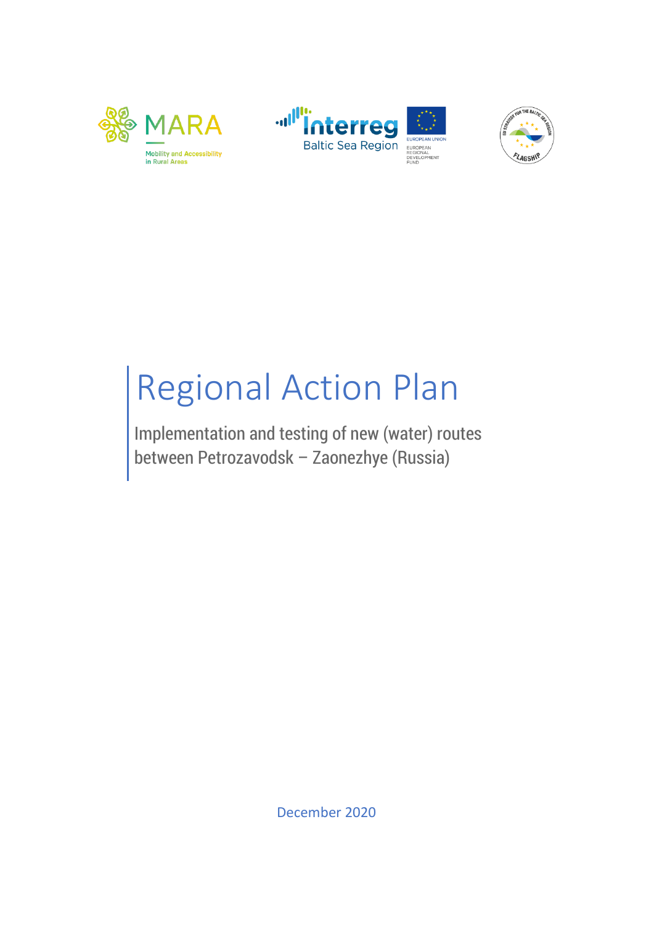





# Regional Action Plan

Implementation and testing of new (water) routes between Petrozavodsk – Zaonezhye (Russia)

December 2020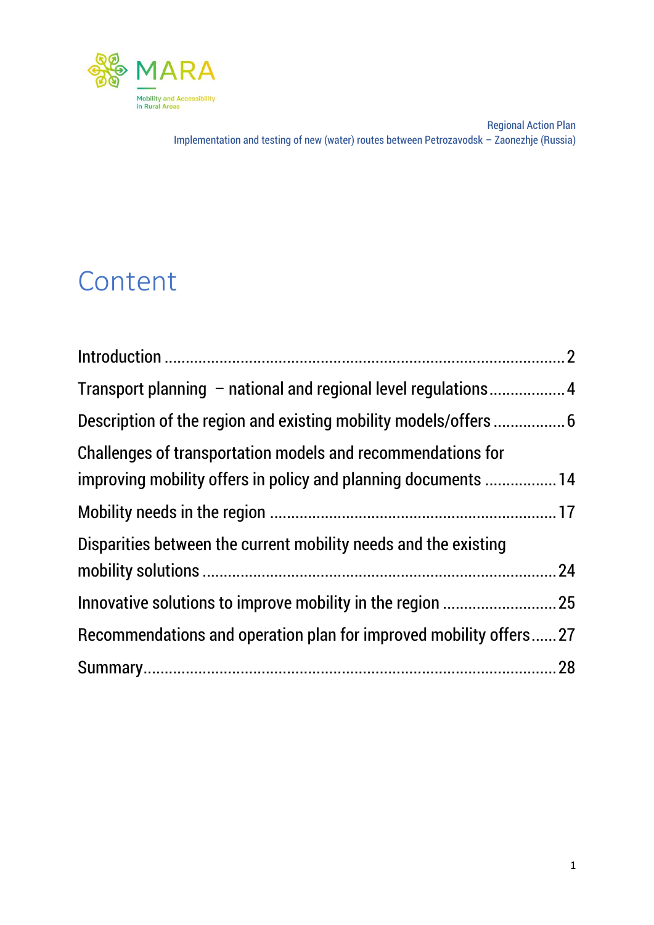

### Content

| Challenges of transportation models and recommendations for       |  |
|-------------------------------------------------------------------|--|
| improving mobility offers in policy and planning documents 14     |  |
|                                                                   |  |
| Disparities between the current mobility needs and the existing   |  |
|                                                                   |  |
|                                                                   |  |
| Recommendations and operation plan for improved mobility offers27 |  |
|                                                                   |  |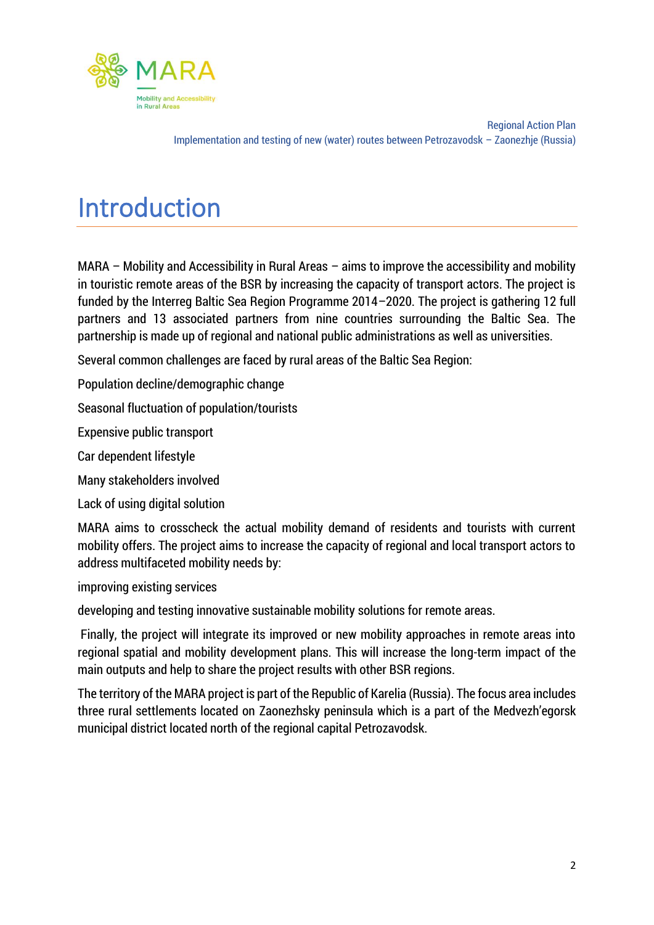

### <span id="page-2-0"></span>Introduction

MARA – Mobility and Accessibility in Rural Areas – aims to improve the accessibility and mobility in touristic remote areas of the BSR by increasing the capacity of transport actors. The project is funded by the Interreg Baltic Sea Region Programme 2014–2020. The project is gathering 12 full partners and 13 associated partners from nine countries surrounding the Baltic Sea. The partnership is made up of regional and national public administrations as well as universities.

Several common challenges are faced by rural areas of the Baltic Sea Region:

Population decline/demographic change

Seasonal fluctuation of population/tourists

Expensive public transport

Car dependent lifestyle

Many stakeholders involved

Lack of using digital solution

MARA aims to crosscheck the actual mobility demand of residents and tourists with current mobility offers. The project aims to increase the capacity of regional and local transport actors to address multifaceted mobility needs by:

improving existing services

developing and testing innovative sustainable mobility solutions for remote areas.

Finally, the project will integrate its improved or new mobility approaches in remote areas into regional spatial and mobility development plans. This will increase the long-term impact of the main outputs and help to share the project results with other BSR regions.

The territory of the MARA project is part of the Republic of Karelia (Russia). The focus area includes three rural settlements located on Zaonezhsky peninsula which is a part of the Medvezh'egorsk municipal district located north of the regional capital Petrozavodsk.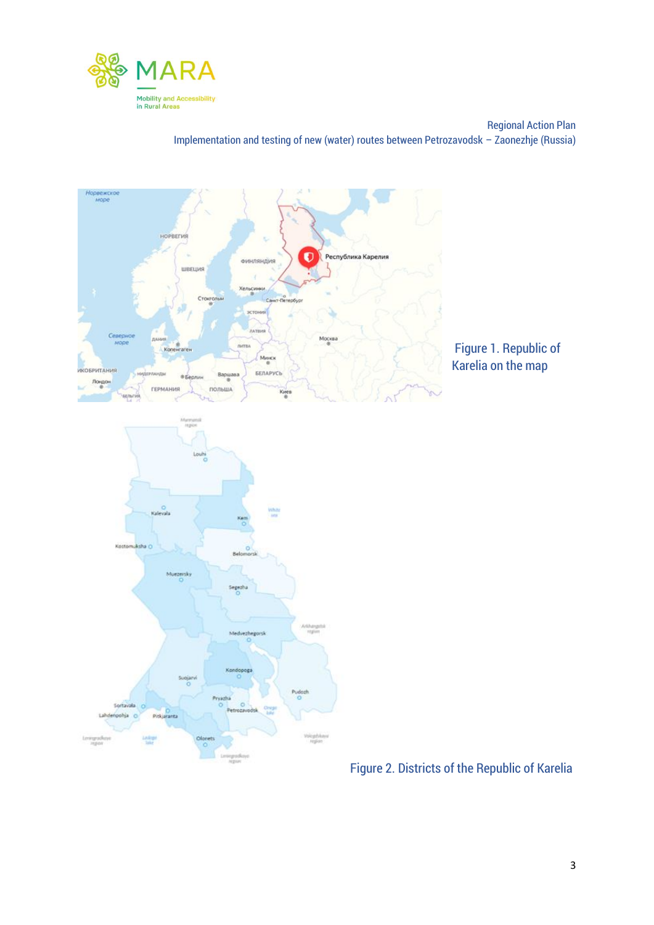



Figure 2. Districts of the Republic of Karelia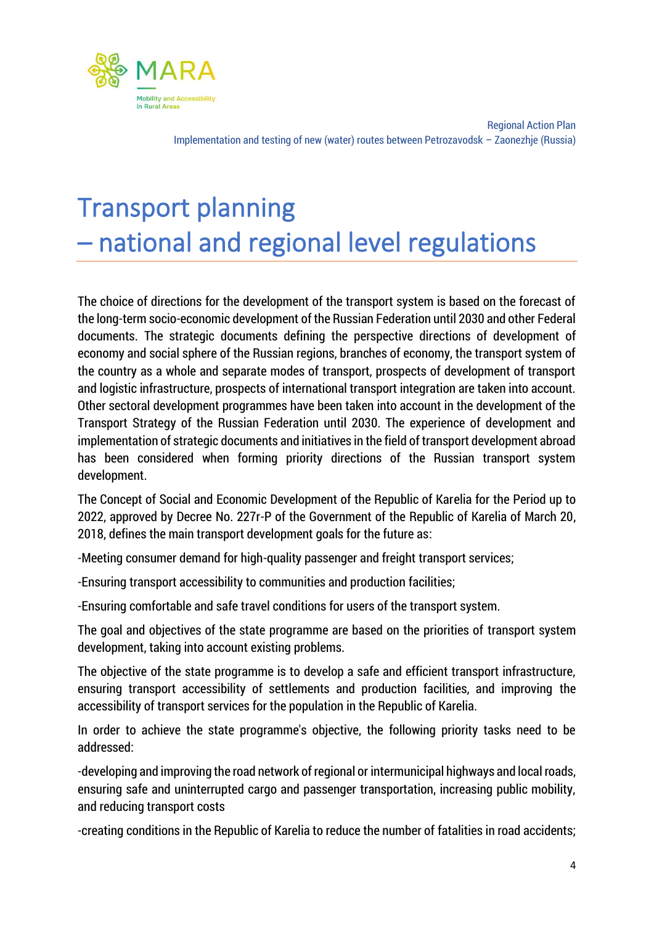

## <span id="page-4-0"></span>Transport planning – national and regional level regulations

The choice of directions for the development of the transport system is based on the forecast of the long-term socio-economic development of the Russian Federation until 2030 and other Federal documents. The strategic documents defining the perspective directions of development of economy and social sphere of the Russian regions, branches of economy, the transport system of the country as a whole and separate modes of transport, prospects of development of transport and logistic infrastructure, prospects of international transport integration are taken into account. Other sectoral development programmes have been taken into account in the development of the Transport Strategy of the Russian Federation until 2030. The experience of development and implementation of strategic documents and initiatives in the field of transport development abroad has been considered when forming priority directions of the Russian transport system development.

The Concept of Social and Economic Development of the Republic of Karelia for the Period up to 2022, approved by Decree No. 227r-P of the Government of the Republic of Karelia of March 20, 2018, defines the main transport development goals for the future as:

-Meeting consumer demand for high-quality passenger and freight transport services;

-Ensuring transport accessibility to communities and production facilities;

-Ensuring comfortable and safe travel conditions for users of the transport system.

The goal and objectives of the state programme are based on the priorities of transport system development, taking into account existing problems.

The objective of the state programme is to develop a safe and efficient transport infrastructure, ensuring transport accessibility of settlements and production facilities, and improving the accessibility of transport services for the population in the Republic of Karelia.

In order to achieve the state programme's objective, the following priority tasks need to be addressed:

-developing and improving the road network of regional or intermunicipal highways and local roads, ensuring safe and uninterrupted cargo and passenger transportation, increasing public mobility, and reducing transport costs

-creating conditions in the Republic of Karelia to reduce the number of fatalities in road accidents;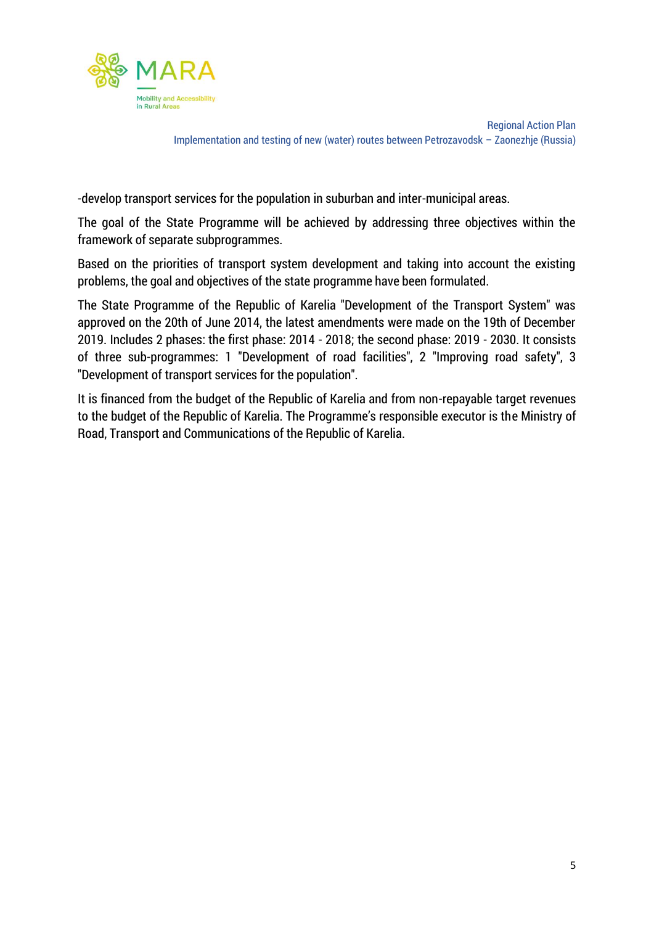

-develop transport services for the population in suburban and inter-municipal areas.

The goal of the State Programme will be achieved by addressing three objectives within the framework of separate subprogrammes.

Based on the priorities of transport system development and taking into account the existing problems, the goal and objectives of the state programme have been formulated.

The State Programme of the Republic of Karelia "Development of the Transport System" was approved on the 20th of June 2014, the latest amendments were made on the 19th of December 2019. Includes 2 phases: the first phase: 2014 - 2018; the second phase: 2019 - 2030. It consists of three sub-programmes: 1 "Development of road facilities", 2 "Improving road safety", 3 "Development of transport services for the population".

It is financed from the budget of the Republic of Karelia and from non-repayable target revenues to the budget of the Republic of Karelia. The Programme's responsible executor is the Ministry of Road, Transport and Communications of the Republic of Karelia.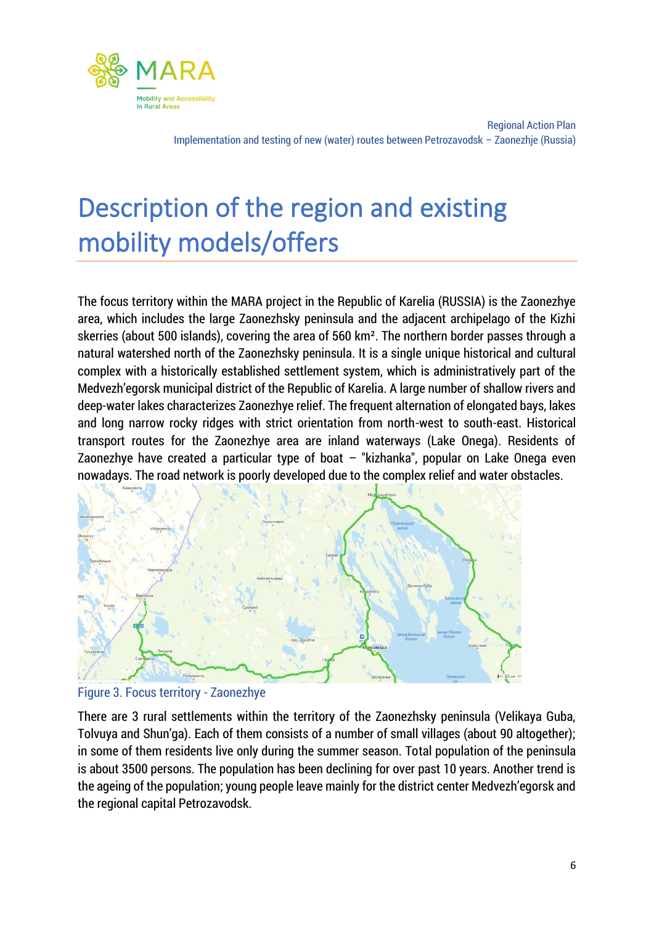

### <span id="page-6-0"></span>Description of the region and existing mobility models/offers

The focus territory within the MARA project in the Republic of Karelia (RUSSIA) is the Zaonezhye area, which includes the large Zaonezhsky peninsula and the adjacent archipelago of the Kizhi skerries (about 500 islands), covering the area of 560 km². The northern border passes through a natural watershed north of the Zaonezhsky peninsula. It is a single unique historical and cultural complex with a historically established settlement system, which is administratively part of the Medvezh'egorsk municipal district of the Republic of Karelia. A large number of shallow rivers and deep-water lakes characterizes Zaonezhye relief. The frequent alternation of elongated bays, lakes and long narrow rocky ridges with strict orientation from north-west to south-east. Historical transport routes for the Zaonezhye area are inland waterways (Lake Onega). Residents of Zaonezhye have created a particular type of boat – "kizhanka", popular on Lake Onega even nowadays. The road network is poorly developed due to the complex relief and water obstacles.



Figure 3. Focus territory - Zaonezhye

There are 3 rural settlements within the territory of the Zaonezhsky peninsula (Velikaya Guba, Tolvuya and Shun'ga). Each of them consists of a number of small villages (about 90 altogether); in some of them residents live only during the summer season. Total population of the peninsula is about 3500 persons. The population has been declining for over past 10 years. Another trend is the ageing of the population; young people leave mainly for the district center Medvezh'egorsk and the regional capital Petrozavodsk.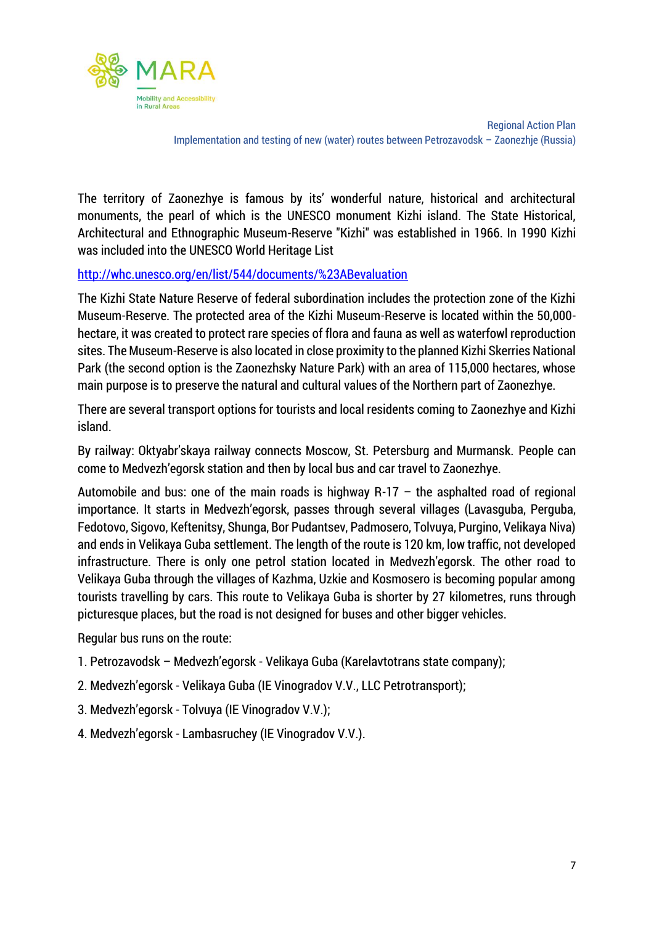

The territory of Zaonezhye is famous by its' wonderful nature, historical and architectural monuments, the pearl of which is the UNESCO monument Kizhi island. The State Historical, Architectural and Ethnographic Museum-Reserve "Kizhi" was established in 1966. In 1990 Kizhi was included into the UNESCO World Heritage List

<http://whc.unesco.org/en/list/544/documents/%23ABevaluation>

The Kizhi State Nature Reserve of federal subordination includes the protection zone of the Kizhi Museum-Reserve. The protected area of the Kizhi Museum-Reserve is located within the 50,000 hectare, it was created to protect rare species of flora and fauna as well as waterfowl reproduction sites. The Museum-Reserve is also located in close proximity to the planned Kizhi Skerries National Park (the second option is the Zaonezhsky Nature Park) with an area of 115,000 hectares, whose main purpose is to preserve the natural and cultural values of the Northern part of Zaonezhye.

There are several transport options for tourists and local residents coming to Zaonezhye and Kizhi island.

By railway: Oktyabr'skaya railway connects Moscow, St. Petersburg and Murmansk. People can come to Medvezh'egorsk station and then by local bus and car travel to Zaonezhye.

Automobile and bus: one of the main roads is highway R-17 – the asphalted road of regional importance. It starts in Medvezh'egorsk, passes through several villages (Lavasguba, Perguba, Fedotovo, Sigovo, Keftenitsy, Shunga, Bor Pudantsev, Padmosero, Tolvuya, Purgino, Velikaya Niva) and ends in Velikaya Guba settlement. The length of the route is 120 km, low traffic, not developed infrastructure. There is only one petrol station located in Medvezh'egorsk. The other road to Velikaya Guba through the villages of Kazhma, Uzkie and Kosmosero is becoming popular among tourists travelling by cars. This route to Velikaya Guba is shorter by 27 kilometres, runs through picturesque places, but the road is not designed for buses and other bigger vehicles.

Regular bus runs on the route:

- 1. Petrozavodsk Medvezh'egorsk Velikaya Guba (Karelavtotrans state company);
- 2. Medvezh'egorsk Velikaya Guba (IE Vinogradov V.V., LLC Petrotransport);
- 3. Medvezh'egorsk Tolvuya (IE Vinogradov V.V.);
- 4. Medvezh'egorsk Lambasruchey (IE Vinogradov V.V.).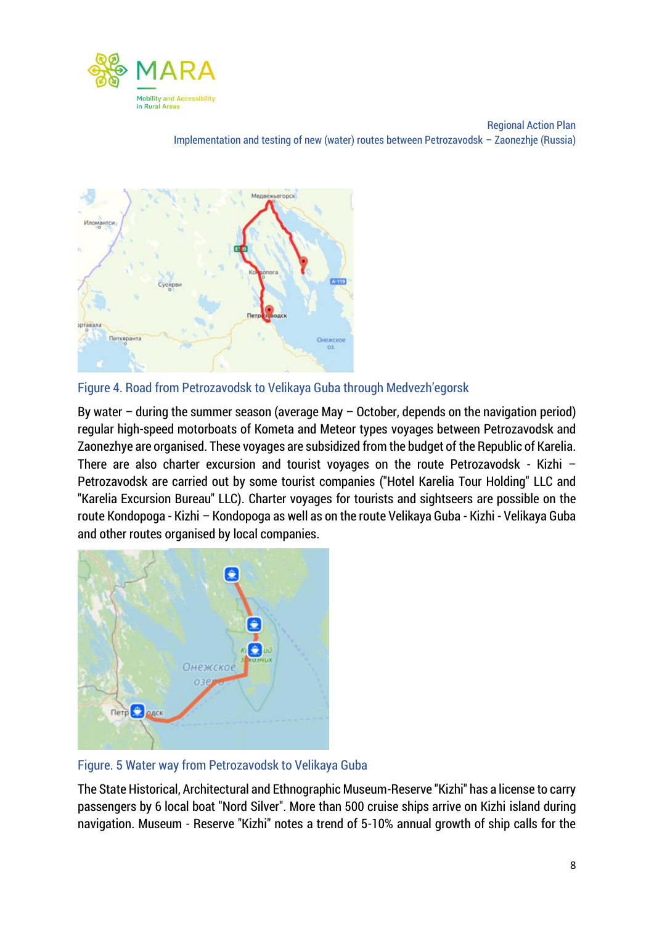





By water – during the summer season (average May – October, depends on the navigation period) regular high-speed motorboats of Kometa and Meteor types voyages between Petrozavodsk and Zaonezhye are organised. These voyages are subsidized from the budget of the Republic of Karelia. There are also charter excursion and tourist voyages on the route Petrozavodsk - Kizhi – Petrozavodsk are carried out by some tourist companies ("Hotel Karelia Tour Holding" LLC and "Karelia Excursion Bureau" LLC). Charter voyages for tourists and sightseers are possible on the route Kondopoga - Kizhi – Kondopoga as well as on the route Velikaya Guba - Kizhi - Velikaya Guba and other routes organised by local companies.



Figure. 5 Water way from Petrozavodsk to Velikaya Guba

The State Historical, Architectural and Ethnographic Museum-Reserve "Kizhi" has a license to carry passengers by 6 local boat "Nord Silver". More than 500 cruise ships arrive on Kizhi island during navigation. Museum - Reserve "Kizhi" notes a trend of 5-10% annual growth of ship calls for the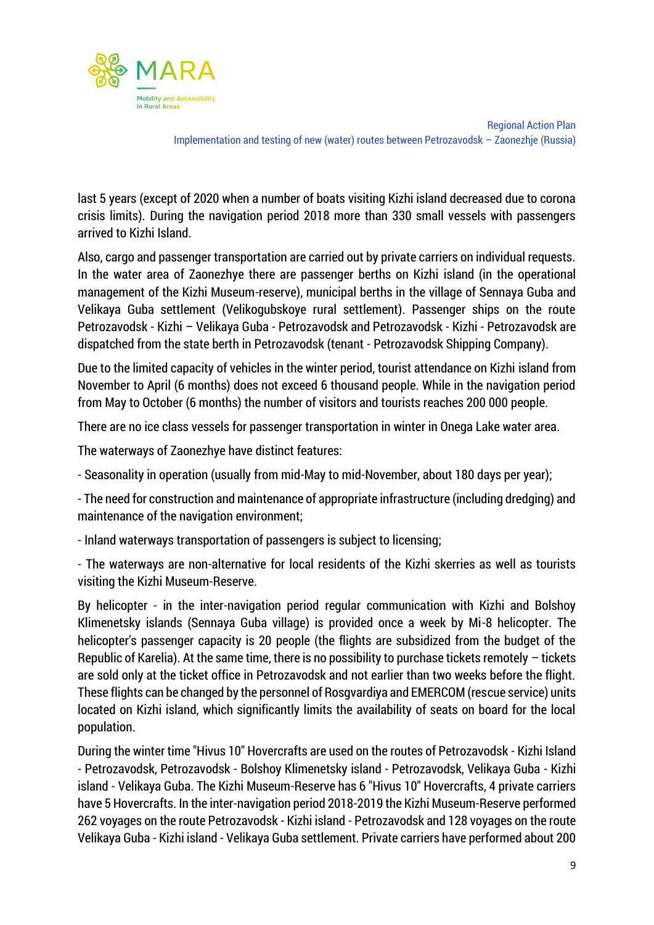

last 5 years (except of 2020 when a number of boats visiting Kizhi island decreased due to corona crisis limits). During the navigation period 2018 more than 330 small vessels with passengers arrived to Kizhi Island.

Also, cargo and passenger transportation are carried out by private carriers on individual requests. In the water area of Zaonezhye there are passenger berths on Kizhi island (in the operational management of the Kizhi Museum-reserve), municipal berths in the village of Sennaya Guba and Velikaya Guba settlement (Velikogubskoye rural settlement). Passenger ships on the route Petrozavodsk - Kizhi – Velikaya Guba - Petrozavodsk and Petrozavodsk - Kizhi - Petrozavodsk are dispatched from the state berth in Petrozavodsk (tenant - Petrozavodsk Shipping Company).

Due to the limited capacity of vehicles in the winter period, tourist attendance on Kizhi island from November to April (6 months) does not exceed 6 thousand people. While in the navigation period from May to October (6 months) the number of visitors and tourists reaches 200 000 people.

There are no ice class vessels for passenger transportation in winter in Onega Lake water area.

The waterways of Zaonezhye have distinct features:

- Seasonality in operation (usually from mid-May to mid-November, about 180 days per year);

- The need for construction and maintenance of appropriate infrastructure (including dredging) and maintenance of the navigation environment;

- Inland waterways transportation of passengers is subject to licensing;

- The waterways are non-alternative for local residents of the Kizhi skerries as well as tourists visiting the Kizhi Museum-Reserve.

By helicopter - in the inter-navigation period regular communication with Kizhi and Bolshoy Klimenetsky islands (Sennaya Guba village) is provided once a week by Mi-8 helicopter. The helicopter's passenger capacity is 20 people (the flights are subsidized from the budget of the Republic of Karelia). At the same time, there is no possibility to purchase tickets remotely – tickets are sold only at the ticket office in Petrozavodsk and not earlier than two weeks before the flight. These flights can be changed by the personnel of Rosgvardiya and EMERCOM (rescue service) units located on Kizhi island, which significantly limits the availability of seats on board for the local population.

During the winter time "Hivus 10" Hovercrafts are used on the routes of Petrozavodsk - Kizhi Island - Petrozavodsk, Petrozavodsk - Bolshoy Klimenetsky island - Petrozavodsk, Velikaya Guba - Kizhi island - Velikaya Guba. The Kizhi Museum-Reserve has 6 "Hivus 10" Hovercrafts, 4 private carriers have 5 Hovercrafts. In the inter-navigation period 2018-2019 the Kizhi Museum-Reserve performed 262 voyages on the route Petrozavodsk - Kizhi island - Petrozavodsk and 128 voyages on the route Velikaya Guba - Kizhi island - Velikaya Guba settlement. Private carriers have performed about 200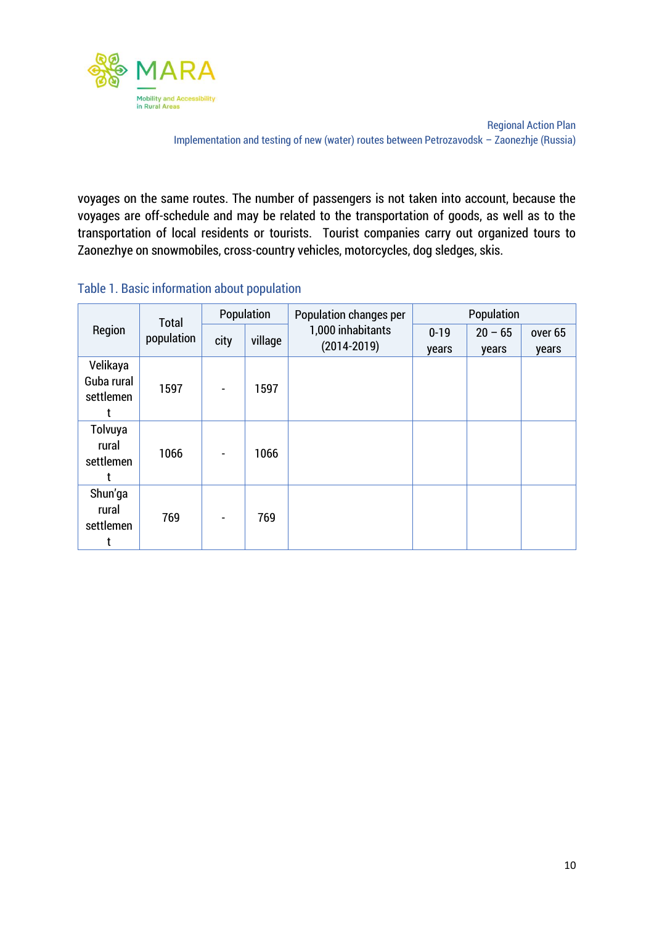

voyages on the same routes. The number of passengers is not taken into account, because the voyages are off-schedule and may be related to the transportation of goods, as well as to the transportation of local residents or tourists. Tourist companies carry out organized tours to Zaonezhye on snowmobiles, cross-country vehicles, motorcycles, dog sledges, skis.

#### Table 1. Basic information about population

| Total                               |            |      | Population | Population changes per               | Population        |                    |                  |  |  |  |
|-------------------------------------|------------|------|------------|--------------------------------------|-------------------|--------------------|------------------|--|--|--|
| Region                              | population | city | village    | 1,000 inhabitants<br>$(2014 - 2019)$ | $0 - 19$<br>years | $20 - 65$<br>years | over 65<br>years |  |  |  |
| Velikaya<br>Guba rural<br>settlemen | 1597       |      | 1597       |                                      |                   |                    |                  |  |  |  |
| Tolvuya<br>rural<br>settlemen       | 1066       |      | 1066       |                                      |                   |                    |                  |  |  |  |
| Shun'ga<br>rural<br>settlemen       | 769        |      | 769        |                                      |                   |                    |                  |  |  |  |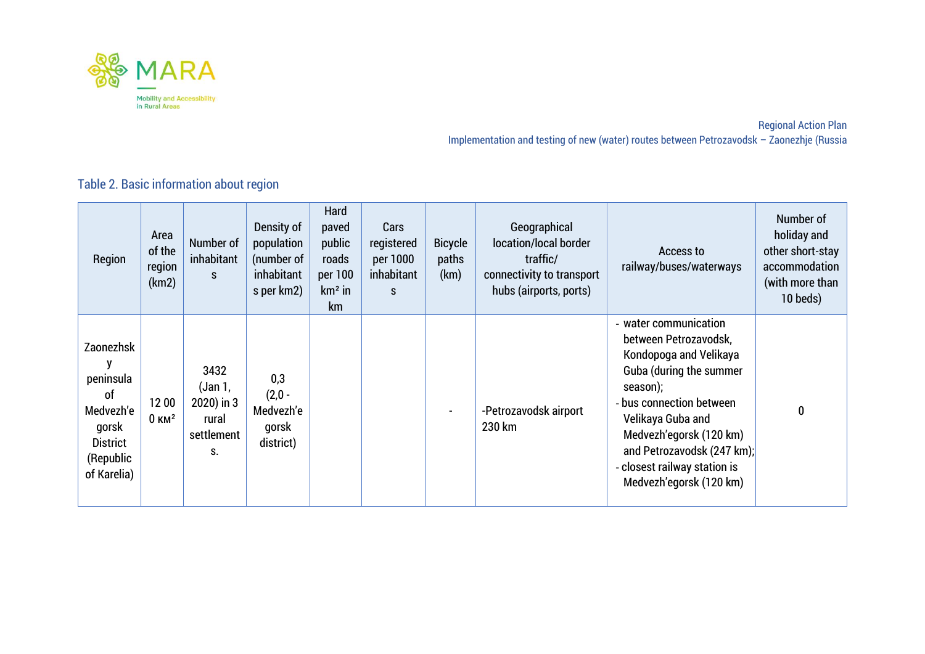

Table 2. Basic information about region

| Region                                                                                                   | Area<br>of the<br>region<br>(km2) | Number of<br>inhabitant<br><sub>S</sub>                    | Density of<br>population<br>(number of<br>inhabitant<br>s per km2) | Hard<br>paved<br>public<br>roads<br>per 100<br>$km2$ in<br>km | Cars<br>registered<br>per 1000<br>inhabitant<br><sub>S</sub> | <b>Bicycle</b><br>paths<br>(km) | Geographical<br>location/local border<br>traffic/<br>connectivity to transport<br>hubs (airports, ports) | Access to<br>railway/buses/waterways                                                                                                                                                                                                                                                 | Number of<br>holiday and<br>other short-stay<br>accommodation<br>(with more than<br>10 beds) |
|----------------------------------------------------------------------------------------------------------|-----------------------------------|------------------------------------------------------------|--------------------------------------------------------------------|---------------------------------------------------------------|--------------------------------------------------------------|---------------------------------|----------------------------------------------------------------------------------------------------------|--------------------------------------------------------------------------------------------------------------------------------------------------------------------------------------------------------------------------------------------------------------------------------------|----------------------------------------------------------------------------------------------|
| <b>Zaonezhsk</b><br>peninsula<br>0f<br>Medvezh'e<br>gorsk<br><b>District</b><br>(Republic<br>of Karelia) | 1200<br>$0 \text{ km}^2$          | 3432<br>(Jan 1,<br>2020) in 3<br>rural<br>settlement<br>S. | 0,3<br>$(2,0 -$<br>Medvezh'e<br>gorsk<br>district)                 |                                                               |                                                              |                                 | -Petrozavodsk airport<br>230 km                                                                          | - water communication<br>between Petrozavodsk,<br>Kondopoga and Velikaya<br>Guba (during the summer<br>season);<br>- bus connection between<br>Velikaya Guba and<br>Medvezh'egorsk (120 km)<br>and Petrozavodsk (247 km);<br>- closest railway station is<br>Medvezh'egorsk (120 km) | $\pmb{0}$                                                                                    |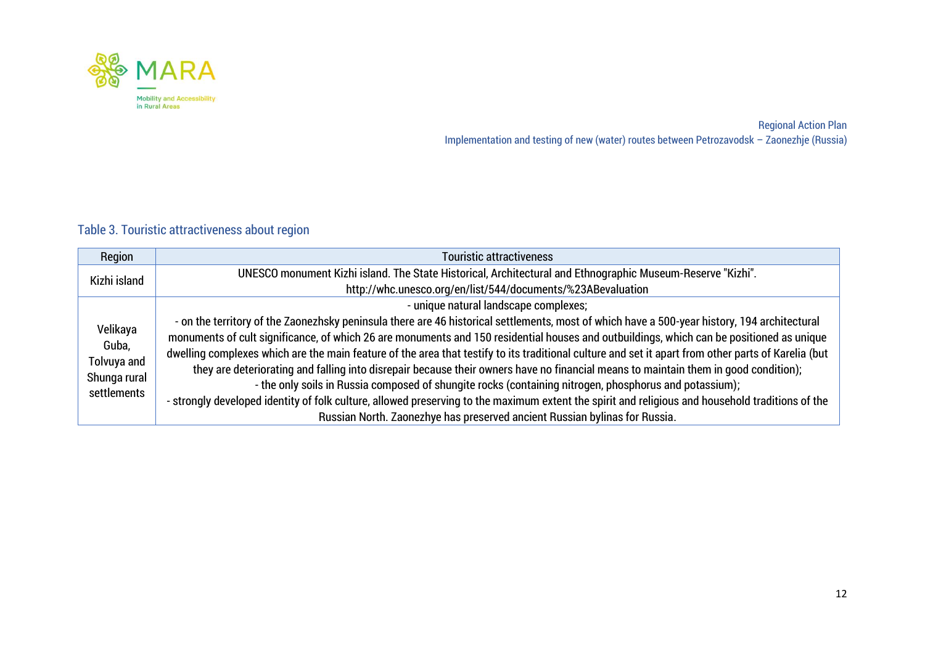

### Table 3. Touristic attractiveness about region

| Region                                                          | <b>Touristic attractiveness</b>                                                                                                                     |
|-----------------------------------------------------------------|-----------------------------------------------------------------------------------------------------------------------------------------------------|
| Kizhi island                                                    | UNESCO monument Kizhi island. The State Historical, Architectural and Ethnographic Museum-Reserve "Kizhi".                                          |
|                                                                 | http://whc.unesco.org/en/list/544/documents/%23ABevaluation                                                                                         |
|                                                                 | - unique natural landscape complexes;                                                                                                               |
| Velikaya<br>Guba,<br>Tolvuya and<br>Shunga rural<br>settlements | - on the territory of the Zaonezhsky peninsula there are 46 historical settlements, most of which have a 500-year history, 194 architectural        |
|                                                                 | monuments of cult significance, of which 26 are monuments and 150 residential houses and outbuildings, which can be positioned as unique            |
|                                                                 | dwelling complexes which are the main feature of the area that testify to its traditional culture and set it apart from other parts of Karelia (but |
|                                                                 | they are deteriorating and falling into disrepair because their owners have no financial means to maintain them in good condition);                 |
|                                                                 | - the only soils in Russia composed of shungite rocks (containing nitrogen, phosphorus and potassium);                                              |
|                                                                 | - strongly developed identity of folk culture, allowed preserving to the maximum extent the spirit and religious and household traditions of the    |
|                                                                 | Russian North. Zaonezhye has preserved ancient Russian bylinas for Russia.                                                                          |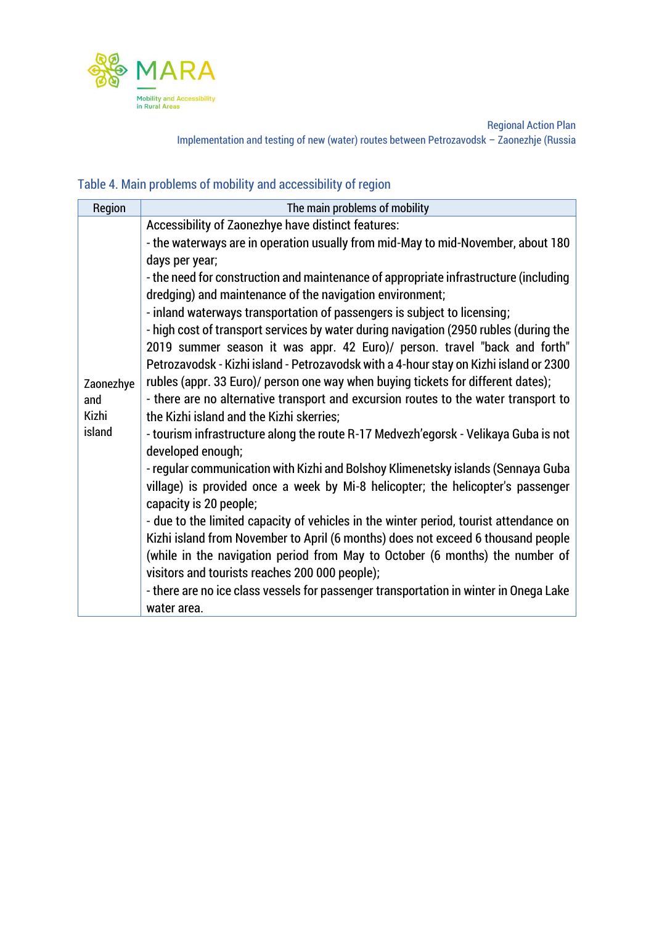

### Table 4. Main problems of mobility and accessibility of region

| - the waterways are in operation usually from mid-May to mid-November, about 180<br>- the need for construction and maintenance of appropriate infrastructure (including |
|--------------------------------------------------------------------------------------------------------------------------------------------------------------------------|
|                                                                                                                                                                          |
|                                                                                                                                                                          |
|                                                                                                                                                                          |
|                                                                                                                                                                          |
|                                                                                                                                                                          |
|                                                                                                                                                                          |
| - high cost of transport services by water during navigation (2950 rubles (during the                                                                                    |
| 2019 summer season it was appr. 42 Euro)/ person. travel "back and forth"                                                                                                |
| Petrozavodsk - Kizhi island - Petrozavodsk with a 4-hour stay on Kizhi island or 2300                                                                                    |
| rubles (appr. 33 Euro)/ person one way when buying tickets for different dates);                                                                                         |
| - there are no alternative transport and excursion routes to the water transport to                                                                                      |
|                                                                                                                                                                          |
| - tourism infrastructure along the route R-17 Medvezh'egorsk - Velikaya Guba is not                                                                                      |
|                                                                                                                                                                          |
| - regular communication with Kizhi and Bolshoy Klimenetsky islands (Sennaya Guba                                                                                         |
| village) is provided once a week by Mi-8 helicopter; the helicopter's passenger                                                                                          |
| - due to the limited capacity of vehicles in the winter period, tourist attendance on                                                                                    |
| Kizhi island from November to April (6 months) does not exceed 6 thousand people                                                                                         |
| (while in the navigation period from May to October (6 months) the number of                                                                                             |
|                                                                                                                                                                          |
| - there are no ice class vessels for passenger transportation in winter in Onega Lake                                                                                    |
|                                                                                                                                                                          |
|                                                                                                                                                                          |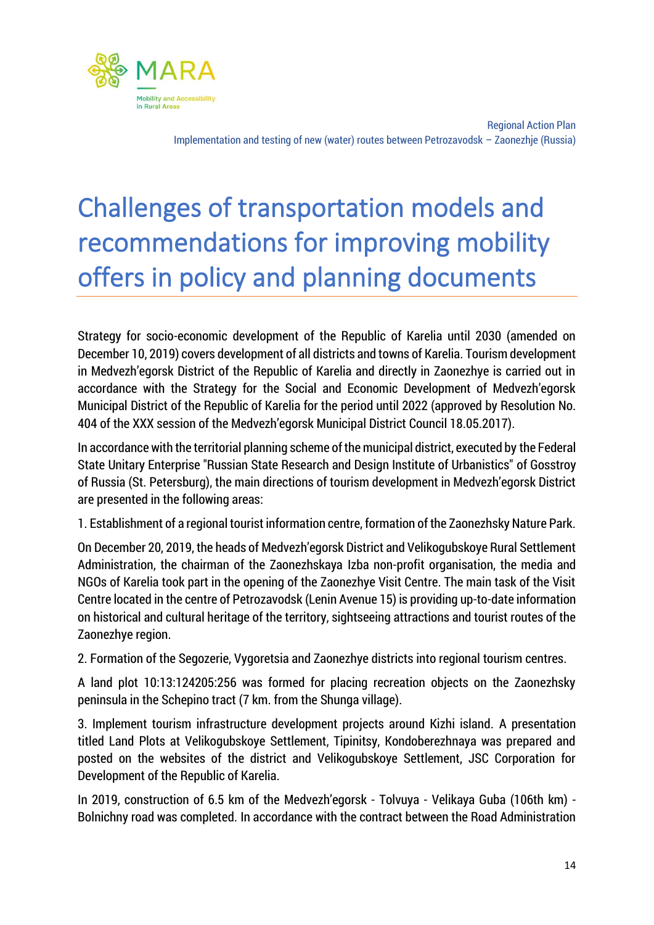

# <span id="page-14-0"></span>Challenges of transportation models and recommendations for improving mobility offers in policy and planning documents

Strategy for socio-economic development of the Republic of Karelia until 2030 (amended on December 10, 2019) covers development of all districts and towns of Karelia. Tourism development in Medvezh'egorsk District of the Republic of Karelia and directly in Zaonezhye is carried out in accordance with the Strategy for the Social and Economic Development of Medvezh'egorsk Municipal District of the Republic of Karelia for the period until 2022 (approved by Resolution No. 404 of the XXX session of the Medvezh'egorsk Municipal District Council 18.05.2017).

In accordance with the territorial planning scheme of the municipal district, executed by the Federal State Unitary Enterprise "Russian State Research and Design Institute of Urbanistics" of Gosstroy of Russia (St. Petersburg), the main directions of tourism development in Medvezh'egorsk District are presented in the following areas:

1. Establishment of a regional tourist information centre, formation of the Zaonezhsky Nature Park.

On December 20, 2019, the heads of Medvezh'egorsk District and Velikogubskoye Rural Settlement Administration, the chairman of the Zaonezhskaya Izba non-profit organisation, the media and NGOs of Karelia took part in the opening of the Zaonezhye Visit Centre. The main task of the Visit Centre located in the centre of Petrozavodsk (Lenin Avenue 15) is providing up-to-date information on historical and cultural heritage of the territory, sightseeing attractions and tourist routes of the Zaonezhye region.

2. Formation of the Segozerie, Vygoretsia and Zaonezhye districts into regional tourism centres.

A land plot 10:13:124205:256 was formed for placing recreation objects on the Zaonezhsky peninsula in the Schepino tract (7 km. from the Shunga village).

3. Implement tourism infrastructure development projects around Kizhi island. A presentation titled Land Plots at Velikogubskoye Settlement, Tipinitsy, Kondoberezhnaya was prepared and posted on the websites of the district and Velikogubskoye Settlement, JSC Corporation for Development of the Republic of Karelia.

In 2019, construction of 6.5 km of the Medvezh'egorsk - Tolvuya - Velikaya Guba (106th km) - Bolnichny road was completed. In accordance with the contract between the Road Administration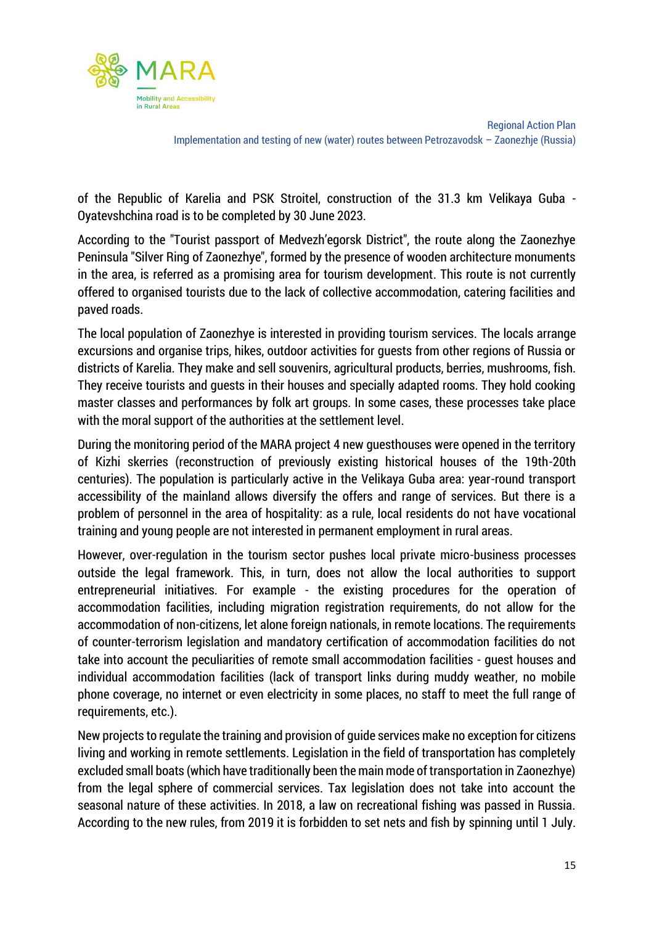

of the Republic of Karelia and PSK Stroitel, construction of the 31.3 km Velikaya Guba - Oyatevshchina road is to be completed by 30 June 2023.

According to the "Tourist passport of Medvezh'egorsk District", the route along the Zaonezhye Peninsula "Silver Ring of Zaonezhye", formed by the presence of wooden architecture monuments in the area, is referred as a promising area for tourism development. This route is not currently offered to organised tourists due to the lack of collective accommodation, catering facilities and paved roads.

The local population of Zaonezhye is interested in providing tourism services. The locals arrange excursions and organise trips, hikes, outdoor activities for guests from other regions of Russia or districts of Karelia. They make and sell souvenirs, agricultural products, berries, mushrooms, fish. They receive tourists and guests in their houses and specially adapted rooms. They hold cooking master classes and performances by folk art groups. In some cases, these processes take place with the moral support of the authorities at the settlement level.

During the monitoring period of the MARA project 4 new guesthouses were opened in the territory of Kizhi skerries (reconstruction of previously existing historical houses of the 19th-20th centuries). The population is particularly active in the Velikaya Guba area: year-round transport accessibility of the mainland allows diversify the offers and range of services. But there is a problem of personnel in the area of hospitality: as a rule, local residents do not have vocational training and young people are not interested in permanent employment in rural areas.

However, over-regulation in the tourism sector pushes local private micro-business processes outside the legal framework. This, in turn, does not allow the local authorities to support entrepreneurial initiatives. For example - the existing procedures for the operation of accommodation facilities, including migration registration requirements, do not allow for the accommodation of non-citizens, let alone foreign nationals, in remote locations. The requirements of counter-terrorism legislation and mandatory certification of accommodation facilities do not take into account the peculiarities of remote small accommodation facilities - guest houses and individual accommodation facilities (lack of transport links during muddy weather, no mobile phone coverage, no internet or even electricity in some places, no staff to meet the full range of requirements, etc.).

New projects to regulate the training and provision of guide services make no exception for citizens living and working in remote settlements. Legislation in the field of transportation has completely excluded small boats (which have traditionally been the main mode of transportation in Zaonezhye) from the legal sphere of commercial services. Tax legislation does not take into account the seasonal nature of these activities. In 2018, a law on recreational fishing was passed in Russia. According to the new rules, from 2019 it is forbidden to set nets and fish by spinning until 1 July.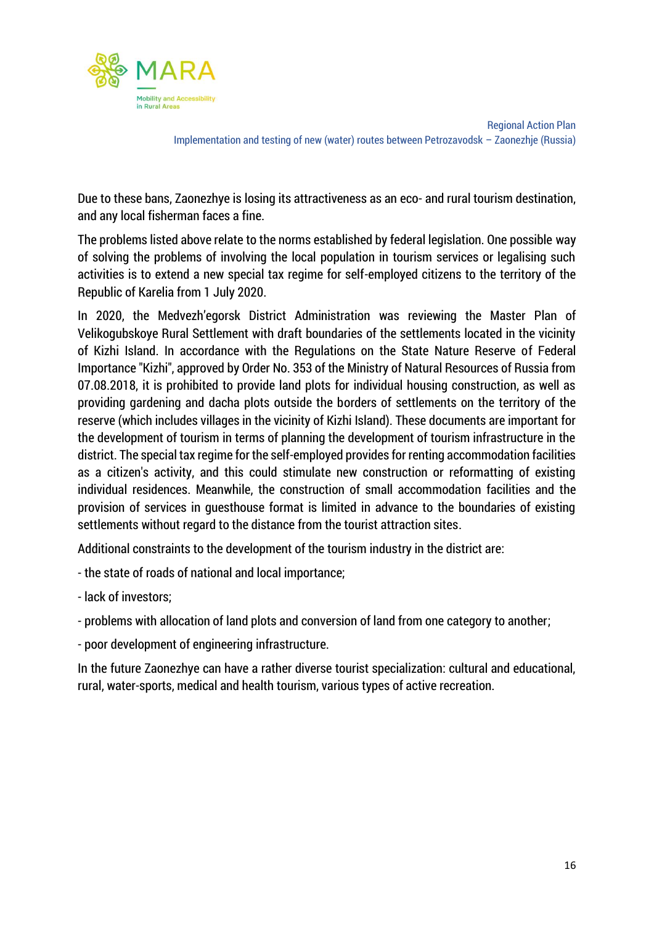

Due to these bans, Zaonezhye is losing its attractiveness as an eco- and rural tourism destination, and any local fisherman faces a fine.

The problems listed above relate to the norms established by federal legislation. One possible way of solving the problems of involving the local population in tourism services or legalising such activities is to extend a new special tax regime for self-employed citizens to the territory of the Republic of Karelia from 1 July 2020.

In 2020, the Medvezh'egorsk District Administration was reviewing the Master Plan of Velikogubskoye Rural Settlement with draft boundaries of the settlements located in the vicinity of Kizhi Island. In accordance with the Regulations on the State Nature Reserve of Federal Importance "Kizhi", approved by Order No. 353 of the Ministry of Natural Resources of Russia from 07.08.2018, it is prohibited to provide land plots for individual housing construction, as well as providing gardening and dacha plots outside the borders of settlements on the territory of the reserve (which includes villages in the vicinity of Kizhi Island). These documents are important for the development of tourism in terms of planning the development of tourism infrastructure in the district. The special tax regime for the self-employed provides for renting accommodation facilities as a citizen's activity, and this could stimulate new construction or reformatting of existing individual residences. Meanwhile, the construction of small accommodation facilities and the provision of services in guesthouse format is limited in advance to the boundaries of existing settlements without regard to the distance from the tourist attraction sites.

Additional constraints to the development of the tourism industry in the district are:

- the state of roads of national and local importance;

- lack of investors;

- problems with allocation of land plots and conversion of land from one category to another;

- poor development of engineering infrastructure.

In the future Zaonezhye can have a rather diverse tourist specialization: cultural and educational, rural, water-sports, medical and health tourism, various types of active recreation.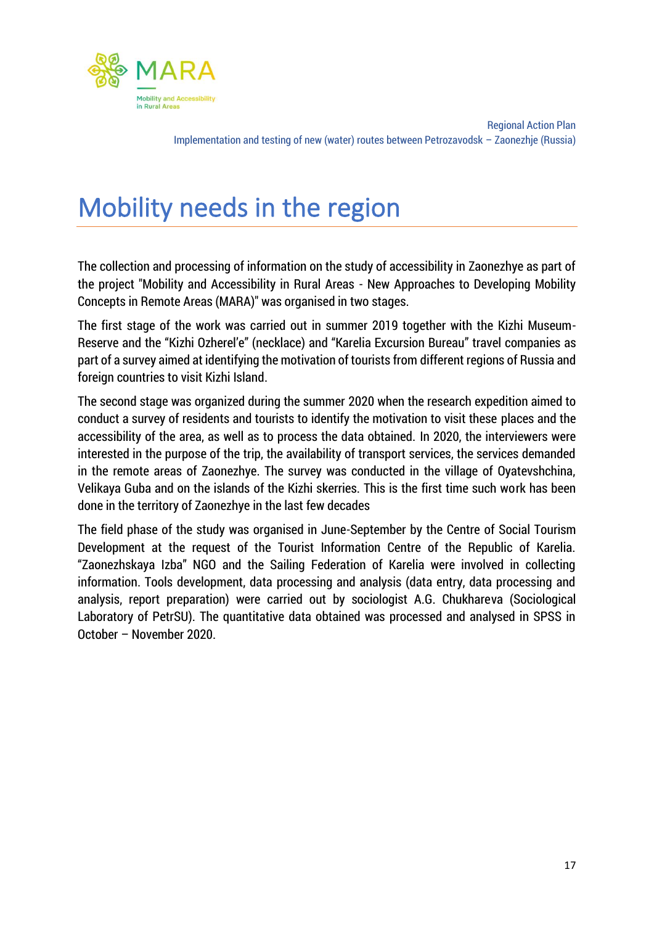

### <span id="page-17-0"></span>Mobility needs in the region

The collection and processing of information on the study of accessibility in Zaonezhye as part of the project "Mobility and Accessibility in Rural Areas - New Approaches to Developing Mobility Concepts in Remote Areas (MARA)" was organised in two stages.

The first stage of the work was carried out in summer 2019 together with the Kizhi Museum-Reserve and the "Kizhi Ozherel'e" (necklace) and "Karelia Excursion Bureau" travel companies as part of a survey aimed at identifying the motivation of tourists from different regions of Russia and foreign countries to visit Kizhi Island.

The second stage was organized during the summer 2020 when the research expedition aimed to conduct a survey of residents and tourists to identify the motivation to visit these places and the accessibility of the area, as well as to process the data obtained. In 2020, the interviewers were interested in the purpose of the trip, the availability of transport services, the services demanded in the remote areas of Zaonezhye. The survey was conducted in the village of Oyatevshchina, Velikaya Guba and on the islands of the Kizhi skerries. This is the first time such work has been done in the territory of Zaonezhye in the last few decades

The field phase of the study was organised in June-September by the Centre of Social Tourism Development at the request of the Tourist Information Centre of the Republic of Karelia. "Zaonezhskaya Izba" NGO and the Sailing Federation of Karelia were involved in collecting information. Tools development, data processing and analysis (data entry, data processing and analysis, report preparation) were carried out by sociologist A.G. Chukhareva (Sociological Laboratory of PetrSU). The quantitative data obtained was processed and analysed in SPSS in October – November 2020.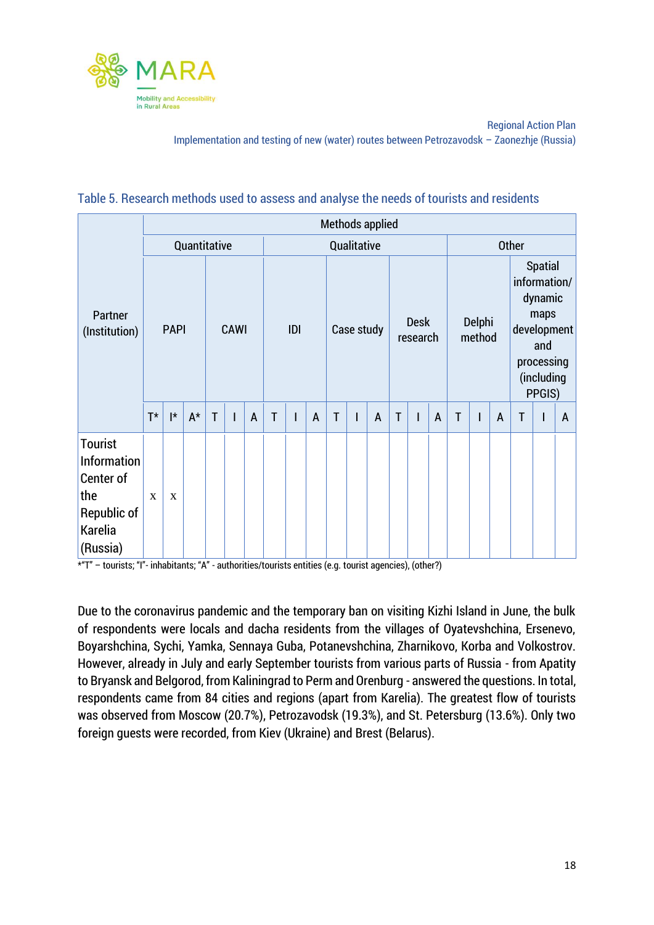

| Table 5. Research methods used to assess and analyse the needs of tourists and residents |  |
|------------------------------------------------------------------------------------------|--|
|------------------------------------------------------------------------------------------|--|

|                                                                                                |              |              |             |      |   | <b>Methods applied</b> |     |             |              |            |  |              |                         |   |              |                  |                          |                |                                                                                                               |  |   |
|------------------------------------------------------------------------------------------------|--------------|--------------|-------------|------|---|------------------------|-----|-------------|--------------|------------|--|--------------|-------------------------|---|--------------|------------------|--------------------------|----------------|---------------------------------------------------------------------------------------------------------------|--|---|
|                                                                                                | Quantitative |              |             |      |   |                        |     | Qualitative |              |            |  |              |                         |   |              | <b>Other</b>     |                          |                |                                                                                                               |  |   |
| Partner<br>(Institution)                                                                       | <b>PAPI</b>  |              |             | CAWI |   |                        | IDI |             |              | Case study |  |              | <b>Desk</b><br>research |   |              | Delphi<br>method |                          |                | <b>Spatial</b><br>information/<br>dynamic<br>maps<br>development<br>and<br>processing<br>(including<br>PPGIS) |  |   |
|                                                                                                | $T^*$        | $\vert$ *    | $A^{\star}$ | T    | I | $\mathsf{A}$           | T   |             | $\mathsf{A}$ | T          |  | $\mathsf{A}$ | T                       | ı | $\mathsf{A}$ | T                | $\overline{\phantom{a}}$ | $\overline{A}$ | T                                                                                                             |  | A |
| <b>Tourist</b><br>Information<br>Center of<br>the<br><b>Republic of</b><br>Karelia<br>(Russia) | $\mathbf{x}$ | $\mathbf{x}$ |             |      |   |                        |     |             |              |            |  |              |                         |   |              |                  |                          |                |                                                                                                               |  |   |

\*"T" – tourists; "I"- inhabitants; "A" - authorities/tourists entities (e.g. tourist agencies), (other?)

Due to the coronavirus pandemic and the temporary ban on visiting Kizhi Island in June, the bulk of respondents were locals and dacha residents from the villages of Oyatevshchina, Ersenevo, Boyarshchina, Sychi, Yamka, Sennaya Guba, Potanevshchina, Zharnikovo, Korba and Volkostrov. However, already in July and early September tourists from various parts of Russia - from Apatity to Bryansk and Belgorod, from Kaliningrad to Perm and Orenburg - answered the questions. In total, respondents came from 84 cities and regions (apart from Karelia). The greatest flow of tourists was observed from Moscow (20.7%), Petrozavodsk (19.3%), and St. Petersburg (13.6%). Only two foreign guests were recorded, from Kiev (Ukraine) and Brest (Belarus).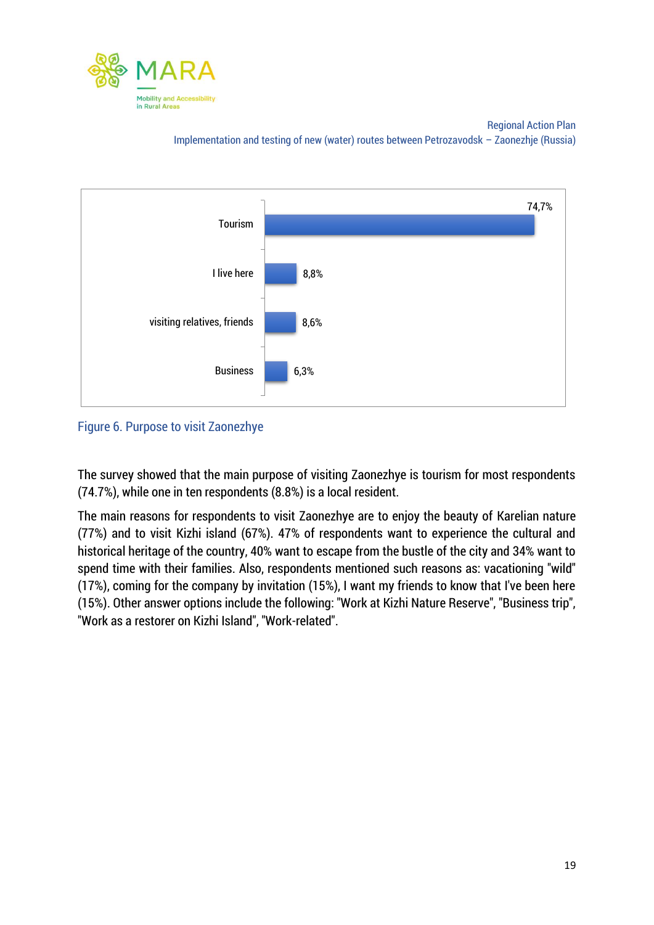



#### Figure 6. Purpose to visit Zaonezhye

The survey showed that the main purpose of visiting Zaonezhye is tourism for most respondents (74.7%), while one in ten respondents (8.8%) is a local resident.

The main reasons for respondents to visit Zaonezhye are to enjoy the beauty of Karelian nature (77%) and to visit Kizhi island (67%). 47% of respondents want to experience the cultural and historical heritage of the country, 40% want to escape from the bustle of the city and 34% want to spend time with their families. Also, respondents mentioned such reasons as: vacationing "wild" (17%), coming for the company by invitation (15%), I want my friends to know that I've been here (15%). Other answer options include the following: "Work at Kizhi Nature Reserve", "Business trip", "Work as a restorer on Kizhi Island", "Work-related".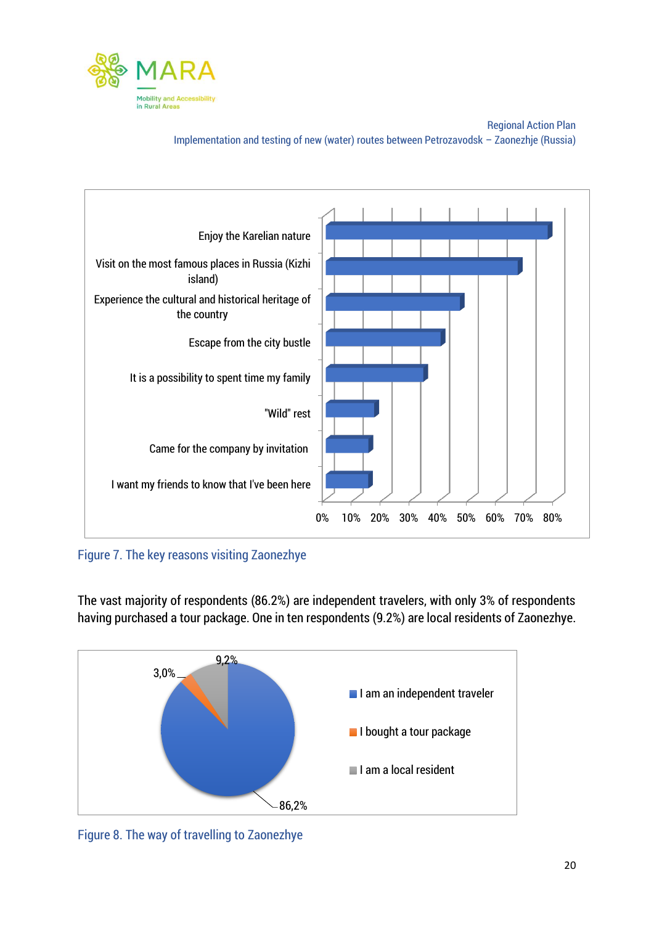





The vast majority of respondents (86.2%) are independent travelers, with only 3% of respondents having purchased a tour package. One in ten respondents (9.2%) are local residents of Zaonezhye.



Figure 8. The way of travelling to Zaonezhye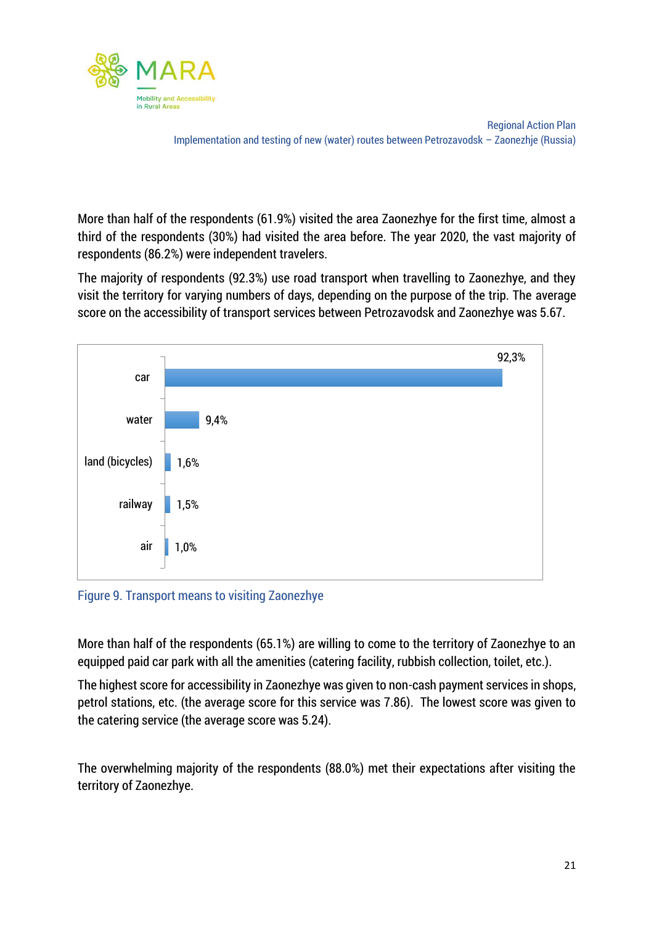

More than half of the respondents (61.9%) visited the area Zaonezhye for the first time, almost a third of the respondents (30%) had visited the area before. The year 2020, the vast majority of respondents (86.2%) were independent travelers.

The majority of respondents (92.3%) use road transport when travelling to Zaonezhye, and they visit the territory for varying numbers of days, depending on the purpose of the trip. The average score on the accessibility of transport services between Petrozavodsk and Zaonezhye was 5.67.



Figure 9. Transport means to visiting Zaonezhye

More than half of the respondents (65.1%) are willing to come to the territory of Zaonezhye to an equipped paid car park with all the amenities (catering facility, rubbish collection, toilet, etc.).

The highest score for accessibility in Zaonezhye was given to non-cash payment services in shops, petrol stations, etc. (the average score for this service was 7.86). The lowest score was given to the catering service (the average score was 5.24).

The overwhelming majority of the respondents (88.0%) met their expectations after visiting the territory of Zaonezhye.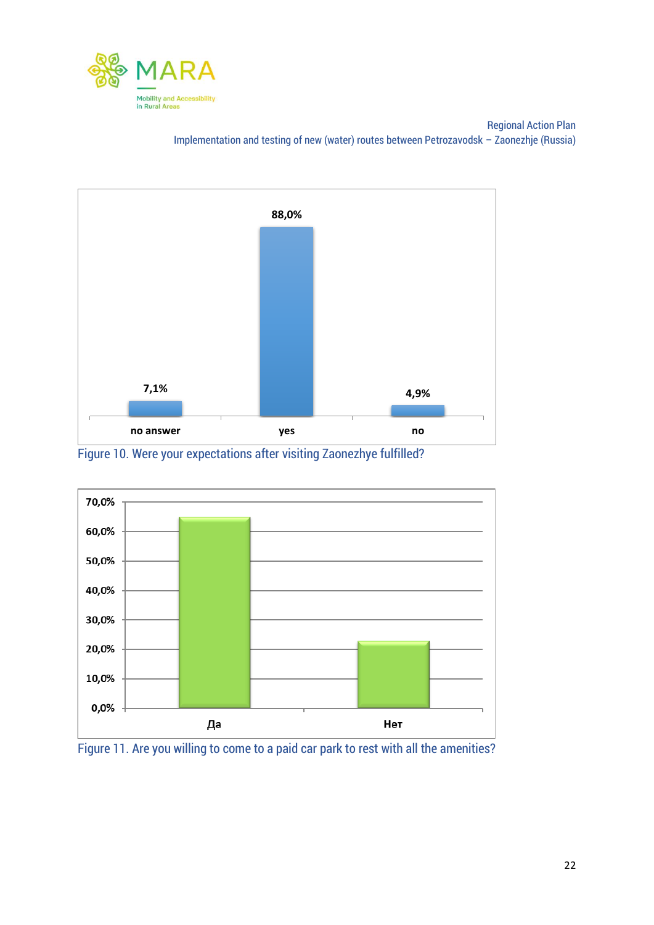



Figure 10. Were your expectations after visiting Zaonezhye fulfilled?



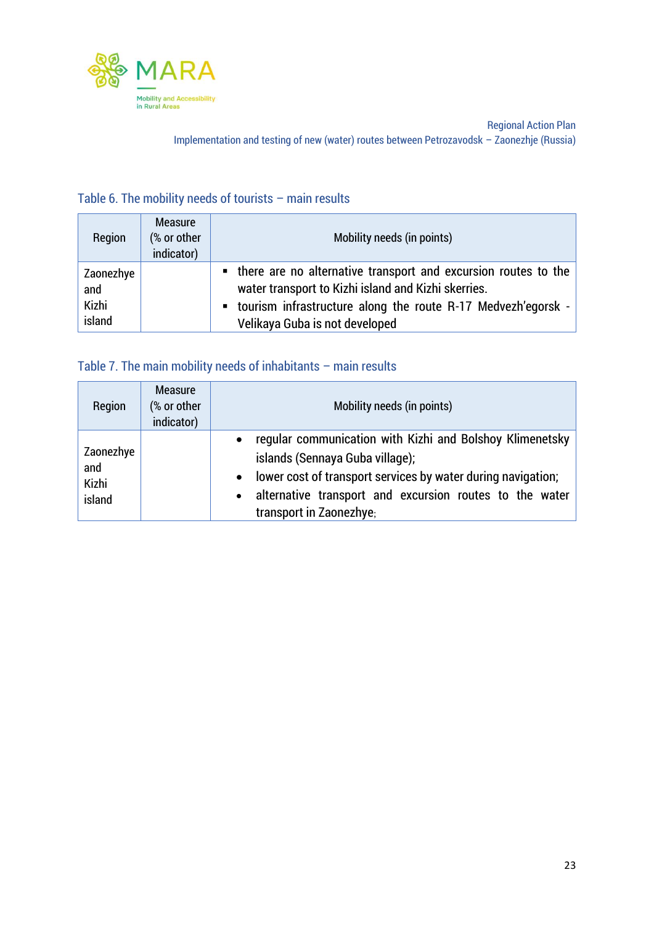

#### Table 6. The mobility needs of tourists – main results

| Region                                     | <b>Measure</b><br>(% or other<br>indicator) | Mobility needs (in points)                                                                                                                                                                                                          |
|--------------------------------------------|---------------------------------------------|-------------------------------------------------------------------------------------------------------------------------------------------------------------------------------------------------------------------------------------|
| Zaonezhye<br>and<br><b>Kizhi</b><br>island |                                             | $\bullet$ there are no alternative transport and excursion routes to the<br>water transport to Kizhi island and Kizhi skerries.<br>• tourism infrastructure along the route R-17 Medvezh'egorsk -<br>Velikaya Guba is not developed |

#### Table 7. The main mobility needs of inhabitants – main results

| Region                              | <b>Measure</b><br>(% or other<br>indicator) | Mobility needs (in points)                                                                                                                                                                                                                                     |
|-------------------------------------|---------------------------------------------|----------------------------------------------------------------------------------------------------------------------------------------------------------------------------------------------------------------------------------------------------------------|
| Zaonezhye<br>and<br>Kizhi<br>island |                                             | regular communication with Kizhi and Bolshoy Klimenetsky<br>islands (Sennaya Guba village);<br>lower cost of transport services by water during navigation;<br>alternative transport and excursion routes to the water<br>$\bullet$<br>transport in Zaonezhye; |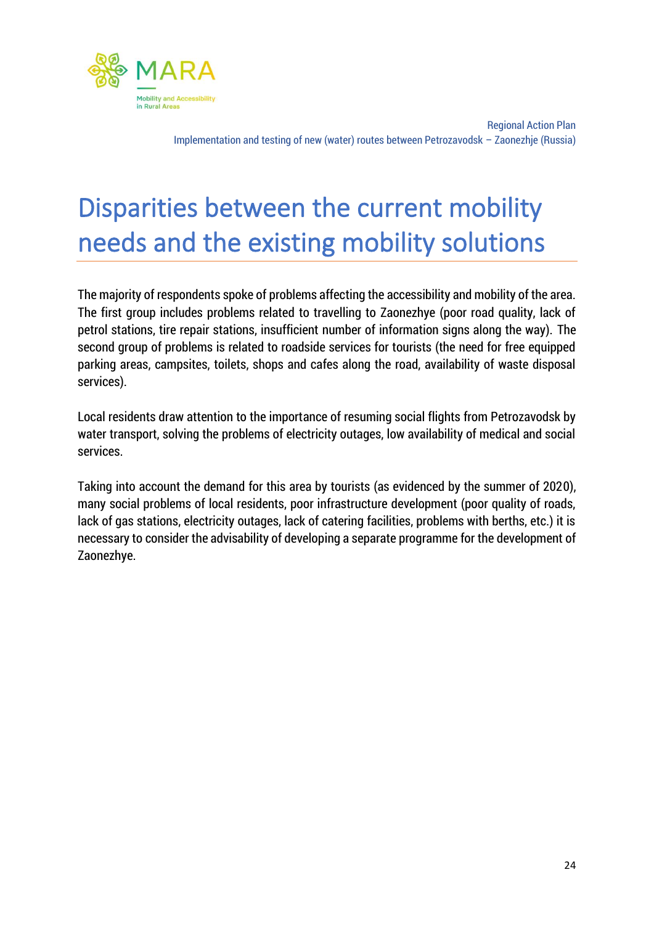

## <span id="page-24-0"></span>Disparities between the current mobility needs and the existing mobility solutions

The majority of respondents spoke of problems affecting the accessibility and mobility of the area. The first group includes problems related to travelling to Zaonezhye (poor road quality, lack of petrol stations, tire repair stations, insufficient number of information signs along the way). The second group of problems is related to roadside services for tourists (the need for free equipped parking areas, campsites, toilets, shops and cafes along the road, availability of waste disposal services).

Local residents draw attention to the importance of resuming social flights from Petrozavodsk by water transport, solving the problems of electricity outages, low availability of medical and social services.

Taking into account the demand for this area by tourists (as evidenced by the summer of 2020), many social problems of local residents, poor infrastructure development (poor quality of roads, lack of gas stations, electricity outages, lack of catering facilities, problems with berths, etc.) it is necessary to consider the advisability of developing a separate programme for the development of Zaonezhye.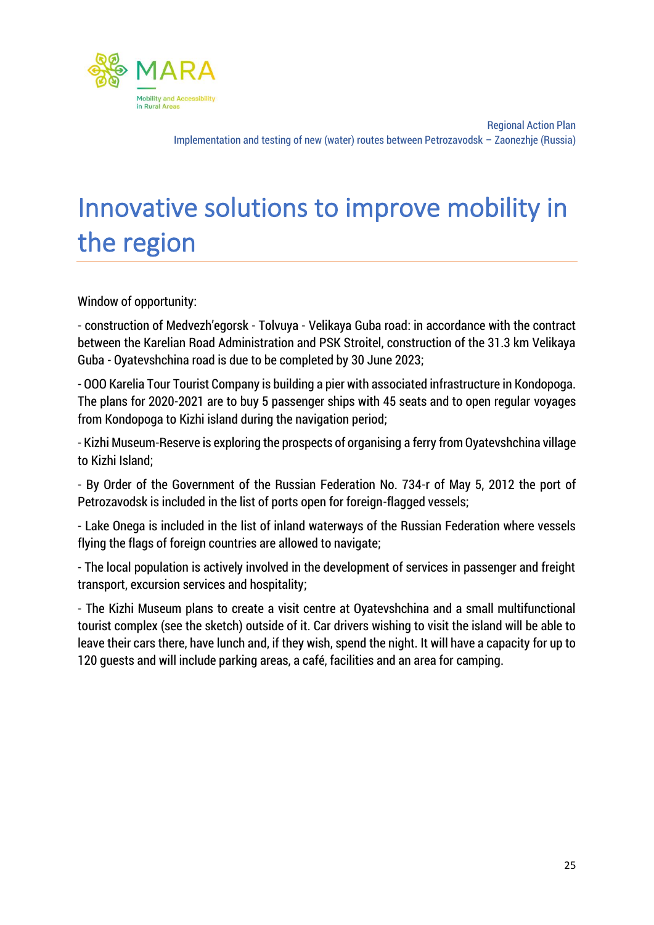

# <span id="page-25-0"></span>Innovative solutions to improve mobility in the region

Window of opportunity:

- construction of Medvezh'egorsk - Tolvuya - Velikaya Guba road: in accordance with the contract between the Karelian Road Administration and PSK Stroitel, construction of the 31.3 km Velikaya Guba - Oyatevshchina road is due to be completed by 30 June 2023;

- OOO Karelia Tour Tourist Company is building a pier with associated infrastructure in Kondopoga. The plans for 2020-2021 are to buy 5 passenger ships with 45 seats and to open regular voyages from Kondopoga to Kizhi island during the navigation period;

- Kizhi Museum-Reserve is exploring the prospects of organising a ferry from Oyatevshchina village to Kizhi Island;

- By Order of the Government of the Russian Federation No. 734-r of May 5, 2012 the port of Petrozavodsk is included in the list of ports open for foreign-flagged vessels;

- Lake Onega is included in the list of inland waterways of the Russian Federation where vessels flying the flags of foreign countries are allowed to navigate;

- The local population is actively involved in the development of services in passenger and freight transport, excursion services and hospitality;

- The Kizhi Museum plans to create a visit centre at Oyatevshchina and a small multifunctional tourist complex (see the sketch) outside of it. Car drivers wishing to visit the island will be able to leave their cars there, have lunch and, if they wish, spend the night. It will have a capacity for up to 120 guests and will include parking areas, a café, facilities and an area for camping.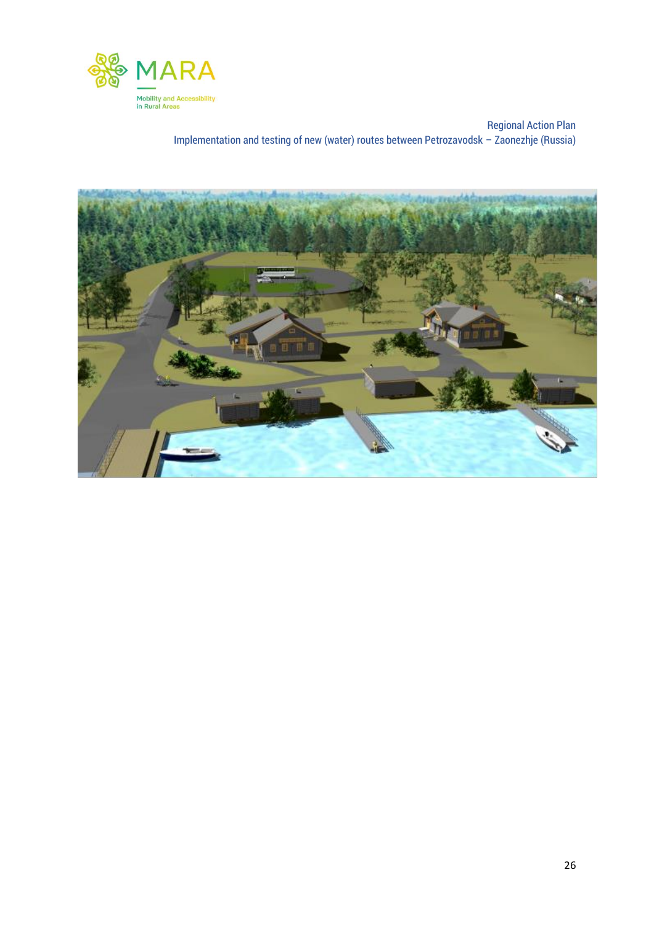

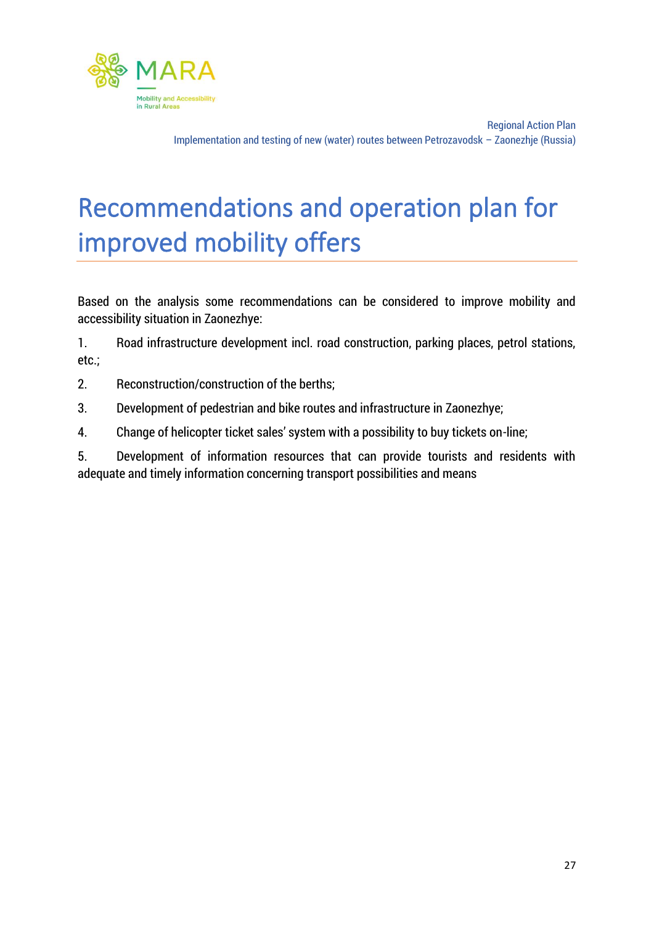

# <span id="page-27-0"></span>Recommendations and operation plan for improved mobility offers

Based on the analysis some recommendations can be considered to improve mobility and accessibility situation in Zaonezhye:

1. Road infrastructure development incl. road construction, parking places, petrol stations, etc.;

- 2. Reconstruction/construction of the berths;
- 3. Development of pedestrian and bike routes and infrastructure in Zaonezhye;
- 4. Change of helicopter ticket sales' system with a possibility to buy tickets on-line;

5. Development of information resources that can provide tourists and residents with adequate and timely information concerning transport possibilities and means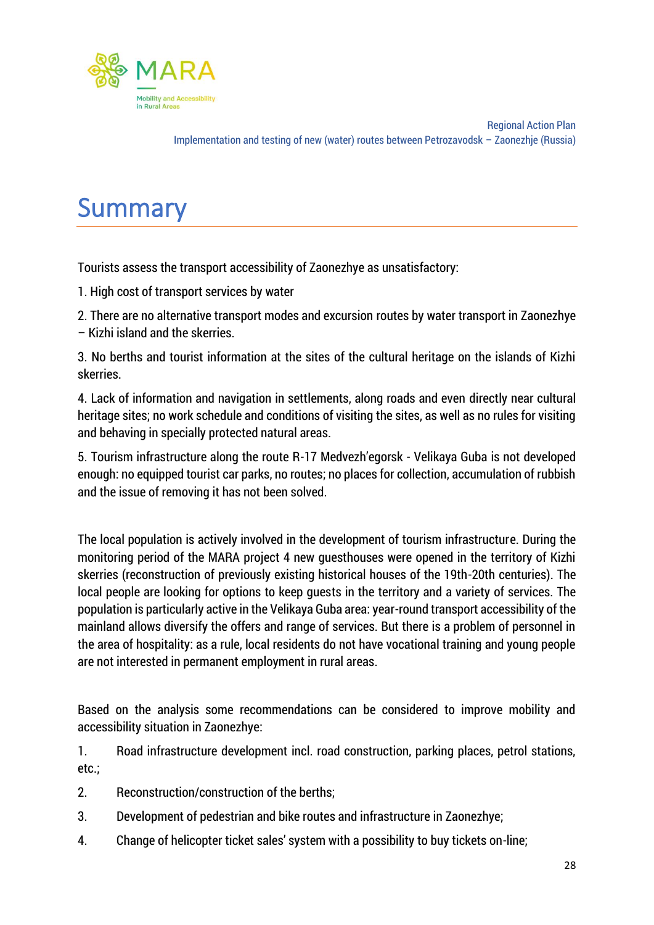

### <span id="page-28-0"></span>Summary

Tourists assess the transport accessibility of Zaonezhye as unsatisfactory:

1. High cost of transport services by water

2. There are no alternative transport modes and excursion routes by water transport in Zaonezhye

– Kizhi island and the skerries.

3. No berths and tourist information at the sites of the cultural heritage on the islands of Kizhi skerries.

4. Lack of information and navigation in settlements, along roads and even directly near cultural heritage sites; no work schedule and conditions of visiting the sites, as well as no rules for visiting and behaving in specially protected natural areas.

5. Tourism infrastructure along the route R-17 Medvezh'egorsk - Velikaya Guba is not developed enough: no equipped tourist car parks, no routes; no places for collection, accumulation of rubbish and the issue of removing it has not been solved.

The local population is actively involved in the development of tourism infrastructure. During the monitoring period of the MARA project 4 new guesthouses were opened in the territory of Kizhi skerries (reconstruction of previously existing historical houses of the 19th-20th centuries). The local people are looking for options to keep guests in the territory and a variety of services. The population is particularly active in the Velikaya Guba area: year-round transport accessibility of the mainland allows diversify the offers and range of services. But there is a problem of personnel in the area of hospitality: as a rule, local residents do not have vocational training and young people are not interested in permanent employment in rural areas.

Based on the analysis some recommendations can be considered to improve mobility and accessibility situation in Zaonezhye:

1. Road infrastructure development incl. road construction, parking places, petrol stations, etc.;

- 2. Reconstruction/construction of the berths;
- 3. Development of pedestrian and bike routes and infrastructure in Zaonezhye;
- 4. Change of helicopter ticket sales' system with a possibility to buy tickets on-line;